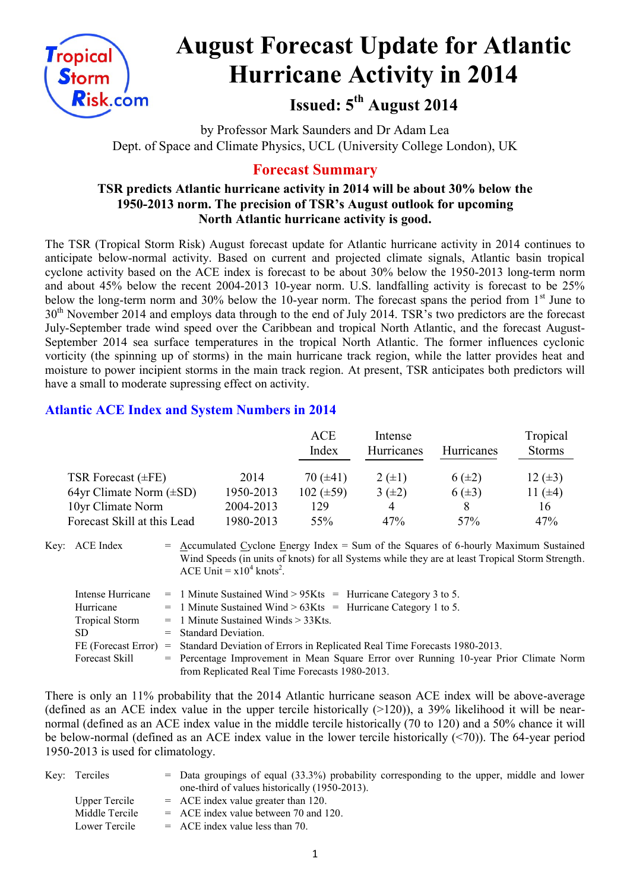

# **August Forecast Update for Atlantic Hurricane Activity in 2014**

# **Issued: 5 th August 2014**

by Professor Mark Saunders and Dr Adam Lea Dept. of Space and Climate Physics, UCL (University College London), UK

# **Forecast Summary**

#### **TSR predicts Atlantic hurricane activity in 2014 will be about 30% below the 1950-2013 norm. The precision of TSR's August outlook for upcoming North Atlantic hurricane activity is good.**

The TSR (Tropical Storm Risk) August forecast update for Atlantic hurricane activity in 2014 continues to anticipate below-normal activity. Based on current and projected climate signals, Atlantic basin tropical cyclone activity based on the ACE index is forecast to be about 30% below the 1950-2013 long-term norm and about 45% below the recent 2004-2013 10-year norm. U.S. landfalling activity is forecast to be 25% below the long-term norm and 30% below the 10-year norm. The forecast spans the period from 1<sup>st</sup> June to 30<sup>th</sup> November 2014 and employs data through to the end of July 2014. TSR's two predictors are the forecast July-September trade wind speed over the Caribbean and tropical North Atlantic, and the forecast August-September 2014 sea surface temperatures in the tropical North Atlantic. The former influences cyclonic vorticity (the spinning up of storms) in the main hurricane track region, while the latter provides heat and moisture to power incipient storms in the main track region. At present, TSR anticipates both predictors will have a small to moderate supressing effect on activity.

## **Atlantic ACE Index and System Numbers in 2014**

|                              |           | <b>ACE</b><br>Index | Intense<br>Hurricanes | <b>Hurricanes</b> | Tropical<br><b>Storms</b> |
|------------------------------|-----------|---------------------|-----------------------|-------------------|---------------------------|
| TSR Forecast $(\pm FE)$      | 2014      | 70 $(\pm 41)$       | $2 (+1)$              | $6(\pm 2)$        | 12 $(\pm 3)$              |
| 64yr Climate Norm $(\pm SD)$ | 1950-2013 | $102 (\pm 59)$      | $3(+2)$               | $6(\pm 3)$        | 11 $(±4)$                 |
| 10yr Climate Norm            | 2004-2013 | 129                 | 4                     |                   | 16                        |
| Forecast Skill at this Lead  | 1980-2013 | 55%                 | 47%                   | 57 <sub>%</sub>   | 47%                       |

Key:  $ACE Index$  = Accumulated Cyclone Energy Index = Sum of the Squares of 6-hourly Maximum Sustained Wind Speeds (in units of knots) for all Systems while they are at least Tropical Storm Strength. ACE Unit =  $x10^4$  knots<sup>2</sup>.

| Intense Hurricane     | $=$ 1 Minute Sustained Wind > 95Kts = Hurricane Category 3 to 5.                      |
|-----------------------|---------------------------------------------------------------------------------------|
| Hurricane             | $=$ 1 Minute Sustained Wind > 63Kts = Hurricane Category 1 to 5.                      |
| <b>Tropical Storm</b> | $=$ 1 Minute Sustained Winds $>$ 33Kts.                                               |
| SD.                   | $=$ Standard Deviation.                                                               |
| FE (Forecast Error)   | = Standard Deviation of Errors in Replicated Real Time Forecasts 1980-2013.           |
| Forecast Skill        | = Percentage Improvement in Mean Square Error over Running 10-year Prior Climate Norm |
|                       | from Replicated Real Time Forecasts 1980-2013.                                        |

There is only an 11% probability that the 2014 Atlantic hurricane season ACE index will be above-average (defined as an ACE index value in the upper tercile historically  $(>120)$ ), a 39% likelihood it will be nearnormal (defined as an ACE index value in the middle tercile historically (70 to 120) and a 50% chance it will be below-normal (defined as an ACE index value in the lower tercile historically (<70)). The 64-year period 1950-2013 is used for climatology.

| Key: Terciles  | $=$ Data groupings of equal (33.3%) probability corresponding to the upper, middle and lower |
|----------------|----------------------------------------------------------------------------------------------|
|                | one-third of values historically (1950-2013).                                                |
| Upper Tercile  | $=$ ACE index value greater than 120.                                                        |
| Middle Tercile | $=$ ACE index value between 70 and 120.                                                      |
| Lower Tercile  | $=$ ACE index value less than 70.                                                            |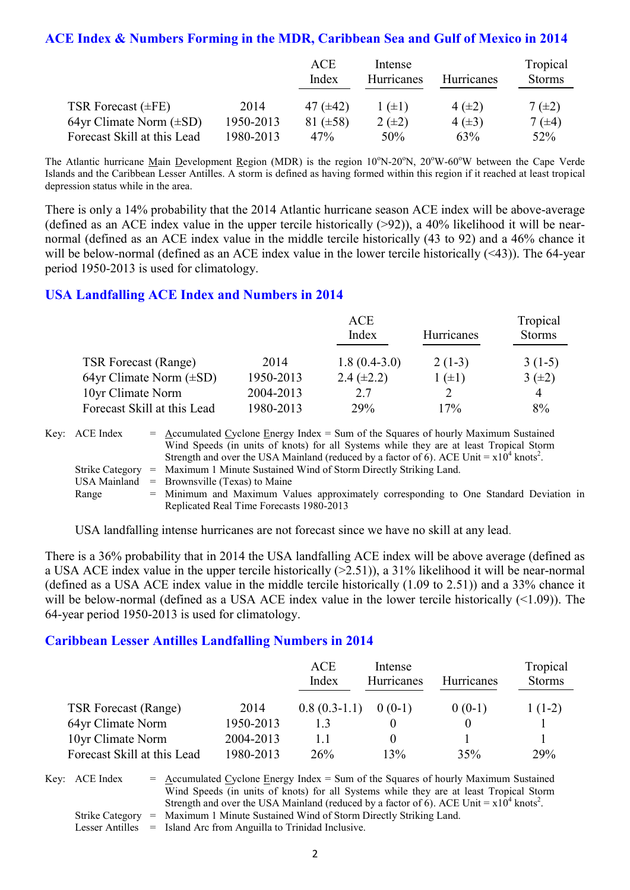#### **ACE Index & Numbers Forming in the MDR, Caribbean Sea and Gulf of Mexico in 2014**

|                              |           | ACE<br>Index  | Intense<br>Hurricanes | Hurricanes  | Tropical<br><b>Storms</b> |
|------------------------------|-----------|---------------|-----------------------|-------------|---------------------------|
| TSR Forecast $(\pm FE)$      | 2014      | 47 $(\pm 42)$ | $1 (\pm 1)$           | 4 $(\pm 2)$ | $7(\pm 2)$                |
| 64yr Climate Norm $(\pm SD)$ | 1950-2013 | 81 $(\pm 58)$ | $2(\pm 2)$            | $4(\pm 3)$  | 7 $(\pm 4)$               |
| Forecast Skill at this Lead  | 1980-2013 | 47%           | 50%                   | 63%         | 52%                       |

The Atlantic hurricane Main Development Region (MDR) is the region  $10^{\circ}N-20^{\circ}N$ ,  $20^{\circ}W-60^{\circ}W$  between the Cape Verde Islands and the Caribbean Lesser Antilles. A storm is defined as having formed within this region if it reached at least tropical depression status while in the area.

There is only a 14% probability that the 2014 Atlantic hurricane season ACE index will be above-average (defined as an ACE index value in the upper tercile historically  $(>92)$ ), a 40% likelihood it will be nearnormal (defined as an ACE index value in the middle tercile historically (43 to 92) and a 46% chance it will be below-normal (defined as an ACE index value in the lower tercile historically (<43)). The 64-year period 1950-2013 is used for climatology.

#### **USA Landfalling ACE Index and Numbers in 2014**

|                              |           | <b>ACE</b><br>Index | Hurricanes | Tropical<br><b>Storms</b> |
|------------------------------|-----------|---------------------|------------|---------------------------|
| <b>TSR Forecast (Range)</b>  | 2014      | $1.8(0.4-3.0)$      | $2(1-3)$   | $3(1-5)$                  |
| 64yr Climate Norm $(\pm SD)$ | 1950-2013 | $2.4 (\pm 2.2)$     | $(\pm 1)$  | $3(\pm 2)$                |
| 10yr Climate Norm            | 2004-2013 | 2.7                 |            | 4                         |
| Forecast Skill at this Lead  | 1980-2013 | <b>29%</b>          | 17%        | 8%                        |

| Key: ACE Index | $=$ Accumulated Cyclone Energy Index $=$ Sum of the Squares of hourly Maximum Sustained                |
|----------------|--------------------------------------------------------------------------------------------------------|
|                | Wind Speeds (in units of knots) for all Systems while they are at least Tropical Storm                 |
|                | Strength and over the USA Mainland (reduced by a factor of 6). ACE Unit = $x10^4$ knots <sup>2</sup> . |
|                | Strike Category = Maximum 1 Minute Sustained Wind of Storm Directly Striking Land.                     |
|                | USA Mainland $=$ Brownsville (Texas) to Maine                                                          |
| Range          | = Minimum and Maximum Values approximately corresponding to One Standard Deviation in                  |
|                | Replicated Real Time Forecasts 1980-2013                                                               |

USA landfalling intense hurricanes are not forecast since we have no skill at any lead.

There is a 36% probability that in 2014 the USA landfalling ACE index will be above average (defined as a USA ACE index value in the upper tercile historically (>2.51)), a 31% likelihood it will be near-normal (defined as a USA ACE index value in the middle tercile historically (1.09 to 2.51)) and a 33% chance it will be below-normal (defined as a USA ACE index value in the lower tercile historically (<1.09)). The 64-year period 1950-2013 is used for climatology.

#### **Caribbean Lesser Antilles Landfalling Numbers in 2014**

|                             |           | ACE<br>Index   | Intense<br>Hurricanes | <b>Hurricanes</b> | Tropical<br><b>Storms</b> |
|-----------------------------|-----------|----------------|-----------------------|-------------------|---------------------------|
| <b>TSR Forecast (Range)</b> | 2014      | $0.8(0.3-1.1)$ | $0(0-1)$              | $0(0-1)$          | $1(1-2)$                  |
| 64yr Climate Norm           | 1950-2013 |                |                       |                   |                           |
| 10yr Climate Norm           | 2004-2013 | $\perp$        |                       |                   |                           |
| Forecast Skill at this Lead | 1980-2013 | 26%            | 13%                   | 35%               | 29%                       |

Key:  $ACE Index = Accumulated Cyclone Energy Index = Sum of the Squares of hourly Maximum Sustainable$ Wind Speeds (in units of knots) for all Systems while they are at least Tropical Storm Strength and over the USA Mainland (reduced by a factor of 6). ACE Unit =  $x10^4$  knots<sup>2</sup>. Strike Category = Maximum 1 Minute Sustained Wind of Storm Directly Striking Land.

Lesser Antilles = Island Arc from Anguilla to Trinidad Inclusive.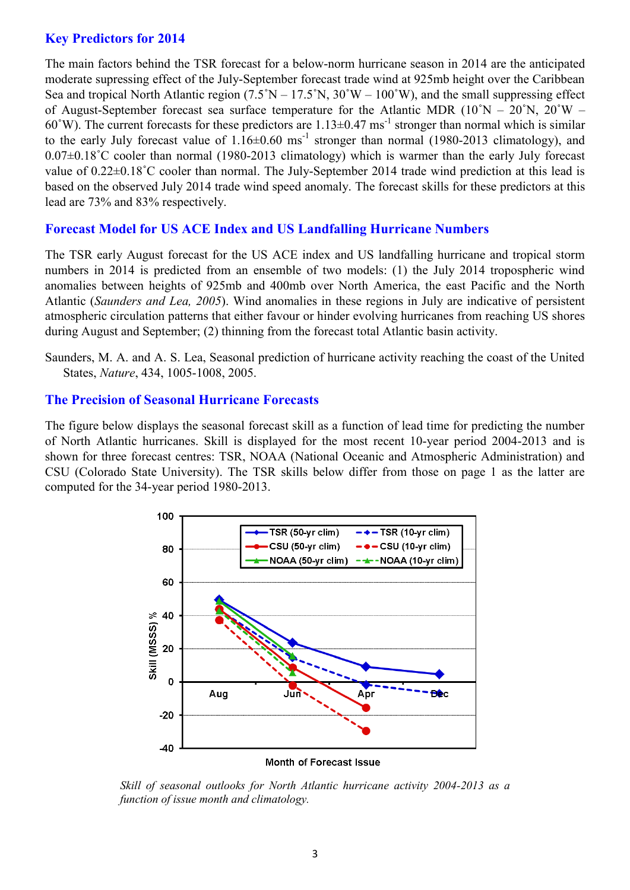#### **Key Predictors for 2014**

The main factors behind the TSR forecast for a below-norm hurricane season in 2014 are the anticipated moderate supressing effect of the July-September forecast trade wind at 925mb height over the Caribbean Sea and tropical North Atlantic region  $(7.5°N - 17.5°N, 30°W - 100°W)$ , and the small suppressing effect of August-September forecast sea surface temperature for the Atlantic MDR  $(10°N - 20°N, 20°W 60°W$ ). The current forecasts for these predictors are  $1.13 \pm 0.47$  ms<sup>-1</sup> stronger than normal which is similar to the early July forecast value of  $1.16 \pm 0.60$  ms<sup>-1</sup> stronger than normal (1980-2013 climatology), and 0.07±0.18˚C cooler than normal (1980-2013 climatology) which is warmer than the early July forecast value of  $0.22\pm0.18^{\circ}$ C cooler than normal. The July-September 2014 trade wind prediction at this lead is based on the observed July 2014 trade wind speed anomaly. The forecast skills for these predictors at this lead are 73% and 83% respectively.

#### **Forecast Model for US ACE Index and US Landfalling Hurricane Numbers**

The TSR early August forecast for the US ACE index and US landfalling hurricane and tropical storm numbers in 2014 is predicted from an ensemble of two models: (1) the July 2014 tropospheric wind anomalies between heights of 925mb and 400mb over North America, the east Pacific and the North Atlantic (*Saunders and Lea, 2005*). Wind anomalies in these regions in July are indicative of persistent atmospheric circulation patterns that either favour or hinder evolving hurricanes from reaching US shores during August and September; (2) thinning from the forecast total Atlantic basin activity.

Saunders, M. A. and A. S. Lea, Seasonal prediction of hurricane activity reaching the coast of the United States, *Nature*, 434, 1005-1008, 2005.

#### **The Precision of Seasonal Hurricane Forecasts**

The figure below displays the seasonal forecast skill as a function of lead time for predicting the number of North Atlantic hurricanes. Skill is displayed for the most recent 10-year period 2004-2013 and is shown for three forecast centres: TSR, NOAA (National Oceanic and Atmospheric Administration) and CSU (Colorado State University). The TSR skills below differ from those on page 1 as the latter are computed for the 34-year period 1980-2013.



Month of Forecast Issue

*Skill of seasonal outlooks for North Atlantic hurricane activity 2004-2013 as a function of issue month and climatology.*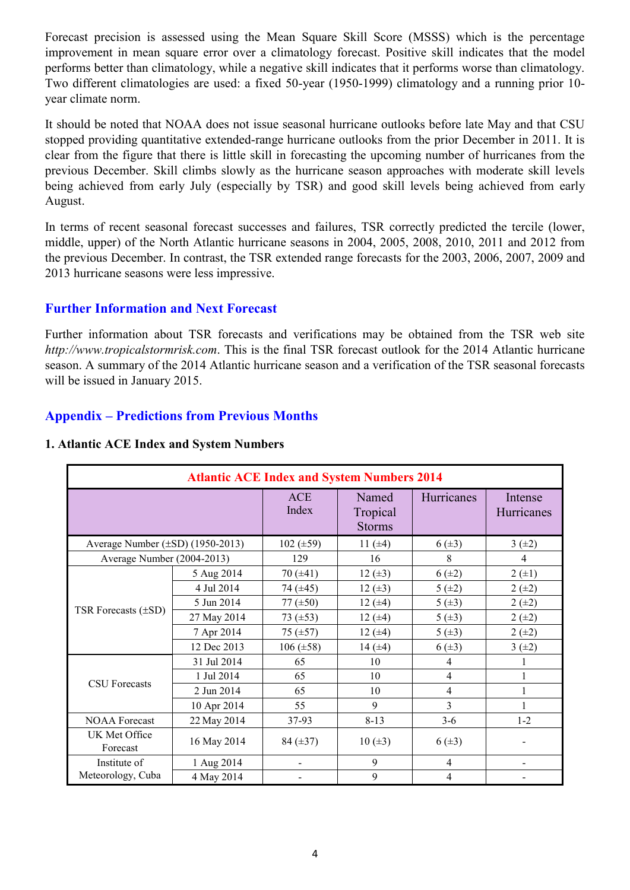Forecast precision is assessed using the Mean Square Skill Score (MSSS) which is the percentage improvement in mean square error over a climatology forecast. Positive skill indicates that the model performs better than climatology, while a negative skill indicates that it performs worse than climatology. Two different climatologies are used: a fixed 50-year (1950-1999) climatology and a running prior 10 year climate norm.

It should be noted that NOAA does not issue seasonal hurricane outlooks before late May and that CSU stopped providing quantitative extended-range hurricane outlooks from the prior December in 2011. It is clear from the figure that there is little skill in forecasting the upcoming number of hurricanes from the previous December. Skill climbs slowly as the hurricane season approaches with moderate skill levels being achieved from early July (especially by TSR) and good skill levels being achieved from early August.

In terms of recent seasonal forecast successes and failures, TSR correctly predicted the tercile (lower, middle, upper) of the North Atlantic hurricane seasons in 2004, 2005, 2008, 2010, 2011 and 2012 from the previous December. In contrast, the TSR extended range forecasts for the 2003, 2006, 2007, 2009 and 2013 hurricane seasons were less impressive.

## **Further Information and Next Forecast**

Further information about TSR forecasts and verifications may be obtained from the TSR web site *http://www.tropicalstormrisk.com*. This is the final TSR forecast outlook for the 2014 Atlantic hurricane season. A summary of the 2014 Atlantic hurricane season and a verification of the TSR seasonal forecasts will be issued in January 2015.

# **Appendix – Predictions from Previous Months**

| <b>Atlantic ACE Index and System Numbers 2014</b> |             |                     |                                    |                   |                       |  |  |
|---------------------------------------------------|-------------|---------------------|------------------------------------|-------------------|-----------------------|--|--|
|                                                   |             | <b>ACE</b><br>Index | Named<br>Tropical<br><b>Storms</b> | <b>Hurricanes</b> | Intense<br>Hurricanes |  |  |
| Average Number $(\pm SD)$ (1950-2013)             |             | 102 $(\pm 59)$      | 11 $(\pm 4)$                       | $6(\pm 3)$        | 3(±2)                 |  |  |
| Average Number (2004-2013)                        |             | 129                 | 16                                 | 8                 | 4                     |  |  |
|                                                   | 5 Aug 2014  | 70 $(\pm 41)$       | 12 $(\pm 3)$                       | $6(\pm 2)$        | $2 (+1)$              |  |  |
|                                                   | 4 Jul 2014  | 74 $(±45)$          | $12 (+3)$                          | 5(±2)             | $2 (+2)$              |  |  |
|                                                   | 5 Jun 2014  | 77 $(\pm 50)$       | 12 $(±4)$                          | 5(.43)            | $2 (+2)$              |  |  |
| TSR Forecasts $(\pm SD)$                          | 27 May 2014 | 73 $(\pm 53)$       | $12 (+4)$                          | 5(±3)             | $2 (+2)$              |  |  |
|                                                   | 7 Apr 2014  | $75(\pm 57)$        | 12 $(±4)$                          | 5(.13)            | $2 (+2)$              |  |  |
|                                                   | 12 Dec 2013 | $106 (\pm 58)$      | 14 $(±4)$                          | $6(\pm 3)$        | 3(±2)                 |  |  |
|                                                   | 31 Jul 2014 | 65                  | 10                                 | 4                 |                       |  |  |
|                                                   | 1 Jul 2014  | 65                  | 10                                 | $\overline{4}$    |                       |  |  |
| <b>CSU</b> Forecasts                              | 2 Jun 2014  | 65                  | 10                                 | $\overline{4}$    |                       |  |  |
|                                                   | 10 Apr 2014 | 55                  | 9                                  | 3                 |                       |  |  |
| <b>NOAA Forecast</b>                              | 22 May 2014 | 37-93               | $8 - 13$                           | $3-6$             | $1-2$                 |  |  |
| UK Met Office<br>Forecast                         | 16 May 2014 | 84 $(\pm 37)$       | 10(.43)                            | $6(\pm 3)$        |                       |  |  |
| Institute of                                      | 1 Aug 2014  |                     | 9                                  | $\overline{4}$    |                       |  |  |
| Meteorology, Cuba                                 | 4 May 2014  |                     | 9                                  | $\overline{4}$    |                       |  |  |

#### **1. Atlantic ACE Index and System Numbers**